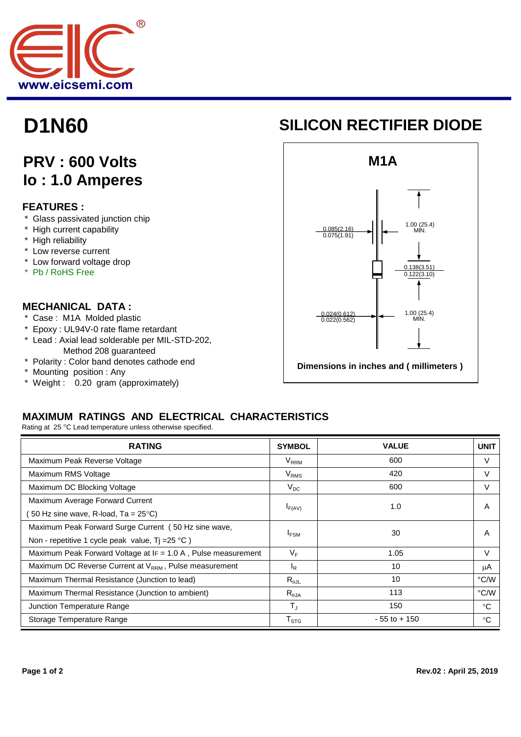

# **D1N60**

## **PRV : 600 Volts Io : 1.0 Amperes**

#### **FEATURES :**

- \* Glass passivated junction chip
- \* High current capability
- \* High reliability
- \* Low reverse current
- \* Low forward voltage drop
- \* Pb / RoHS Free

#### **MECHANICAL DATA :**

- \* Case : M1A Molded plastic
- \* Epoxy : UL94V-0 rate flame retardant
- \* Lead : Axial lead solderable per MIL-STD-202,
- Method 208 guaranteed \* Polarity : Color band denotes cathode end
- \* Mounting position : Any
- \* Weight : 0.20 gram (approximately)

### **SILICON RECTIFIER DIODE**



#### **MAXIMUM RATINGS AND ELECTRICAL CHARACTERISTICS**

Rating at 25 °C Lead temperature unless otherwise specified.

| <b>RATING</b>                                                      | <b>SYMBOL</b>               | <b>VALUE</b>    | <b>UNIT</b> |
|--------------------------------------------------------------------|-----------------------------|-----------------|-------------|
| Maximum Peak Reverse Voltage                                       | $V_{RRM}$                   | 600             | V           |
| Maximum RMS Voltage                                                | $V_{RMS}$                   | 420             | V           |
| Maximum DC Blocking Voltage                                        | $V_{DC}$                    | 600             | V           |
| Maximum Average Forward Current                                    | $I_{F(AV)}$                 | 1.0             | A           |
| 50 Hz sine wave, R-load, Ta = $25^{\circ}$ C)                      |                             |                 |             |
| Maximum Peak Forward Surge Current (50 Hz sine wave,               | <b>IFSM</b>                 | 30              | A           |
| Non - repetitive 1 cycle peak value, $Tj = 25 °C$ )                |                             |                 |             |
| Maximum Peak Forward Voltage at $IF = 1.0 A$ , Pulse measurement   | V <sub>F</sub>              | 1.05            | $\vee$      |
| Maximum DC Reverse Current at V <sub>RRM</sub> , Pulse measurement | <sub>R</sub>                | 10              | μA          |
| Maximum Thermal Resistance (Junction to lead)                      | $R_{\theta$ JL              | 10              | °C/W        |
| Maximum Thermal Resistance (Junction to ambient)                   | $R_{\theta$ JA              | 113             | °C/W        |
| Junction Temperature Range                                         | $T_{\rm J}$                 | 150             | $^{\circ}C$ |
| Storage Temperature Range                                          | $\mathsf{T}_{\texttt{STG}}$ | $-55$ to $+150$ | °C          |